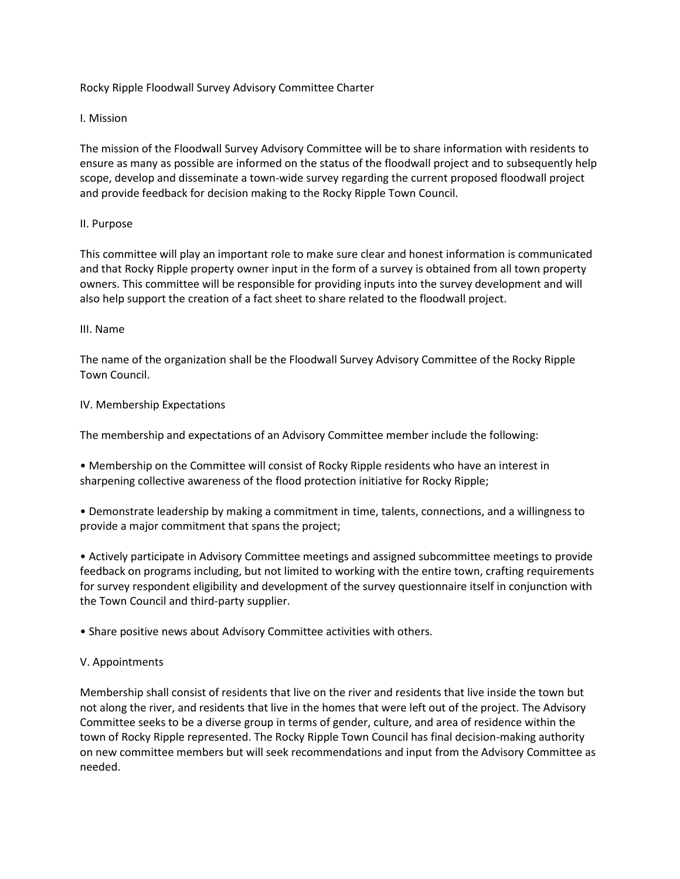Rocky Ripple Floodwall Survey Advisory Committee Charter

# I. Mission

The mission of the Floodwall Survey Advisory Committee will be to share information with residents to ensure as many as possible are informed on the status of the floodwall project and to subsequently help scope, develop and disseminate a town-wide survey regarding the current proposed floodwall project and provide feedback for decision making to the Rocky Ripple Town Council.

# II. Purpose

This committee will play an important role to make sure clear and honest information is communicated and that Rocky Ripple property owner input in the form of a survey is obtained from all town property owners. This committee will be responsible for providing inputs into the survey development and will also help support the creation of a fact sheet to share related to the floodwall project.

### III. Name

The name of the organization shall be the Floodwall Survey Advisory Committee of the Rocky Ripple Town Council.

### IV. Membership Expectations

The membership and expectations of an Advisory Committee member include the following:

• Membership on the Committee will consist of Rocky Ripple residents who have an interest in sharpening collective awareness of the flood protection initiative for Rocky Ripple;

• Demonstrate leadership by making a commitment in time, talents, connections, and a willingness to provide a major commitment that spans the project;

• Actively participate in Advisory Committee meetings and assigned subcommittee meetings to provide feedback on programs including, but not limited to working with the entire town, crafting requirements for survey respondent eligibility and development of the survey questionnaire itself in conjunction with the Town Council and third-party supplier.

• Share positive news about Advisory Committee activities with others.

# V. Appointments

Membership shall consist of residents that live on the river and residents that live inside the town but not along the river, and residents that live in the homes that were left out of the project. The Advisory Committee seeks to be a diverse group in terms of gender, culture, and area of residence within the town of Rocky Ripple represented. The Rocky Ripple Town Council has final decision-making authority on new committee members but will seek recommendations and input from the Advisory Committee as needed.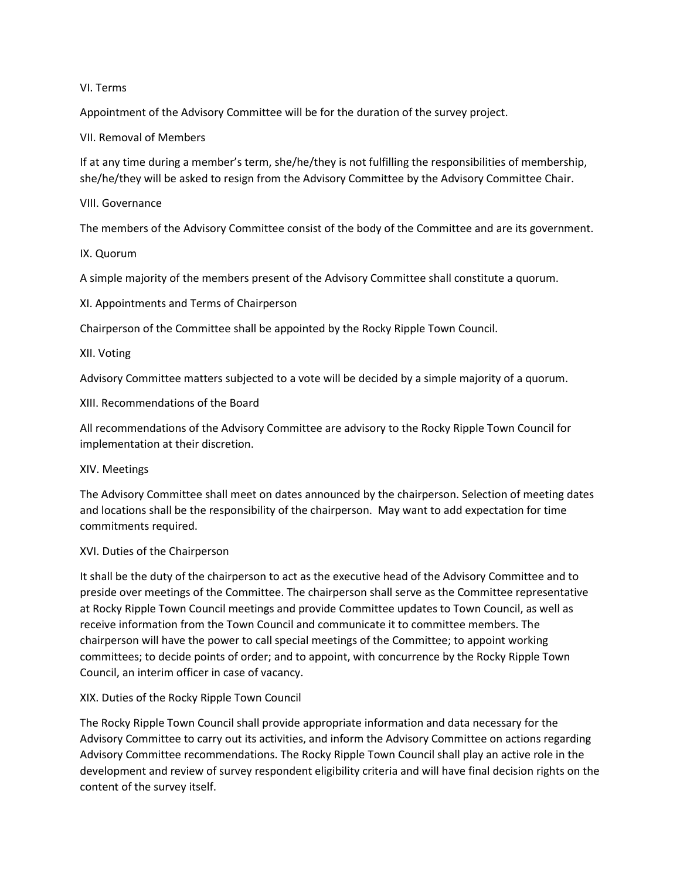### VI. Terms

Appointment of the Advisory Committee will be for the duration of the survey project.

VII. Removal of Members

If at any time during a member's term, she/he/they is not fulfilling the responsibilities of membership, she/he/they will be asked to resign from the Advisory Committee by the Advisory Committee Chair.

VIII. Governance

The members of the Advisory Committee consist of the body of the Committee and are its government.

IX. Quorum

A simple majority of the members present of the Advisory Committee shall constitute a quorum.

XI. Appointments and Terms of Chairperson

Chairperson of the Committee shall be appointed by the Rocky Ripple Town Council.

XII. Voting

Advisory Committee matters subjected to a vote will be decided by a simple majority of a quorum.

XIII. Recommendations of the Board

All recommendations of the Advisory Committee are advisory to the Rocky Ripple Town Council for implementation at their discretion.

XIV. Meetings

The Advisory Committee shall meet on dates announced by the chairperson. Selection of meeting dates and locations shall be the responsibility of the chairperson. May want to add expectation for time commitments required.

# XVI. Duties of the Chairperson

It shall be the duty of the chairperson to act as the executive head of the Advisory Committee and to preside over meetings of the Committee. The chairperson shall serve as the Committee representative at Rocky Ripple Town Council meetings and provide Committee updates to Town Council, as well as receive information from the Town Council and communicate it to committee members. The chairperson will have the power to call special meetings of the Committee; to appoint working committees; to decide points of order; and to appoint, with concurrence by the Rocky Ripple Town Council, an interim officer in case of vacancy.

XIX. Duties of the Rocky Ripple Town Council

The Rocky Ripple Town Council shall provide appropriate information and data necessary for the Advisory Committee to carry out its activities, and inform the Advisory Committee on actions regarding Advisory Committee recommendations. The Rocky Ripple Town Council shall play an active role in the development and review of survey respondent eligibility criteria and will have final decision rights on the content of the survey itself.